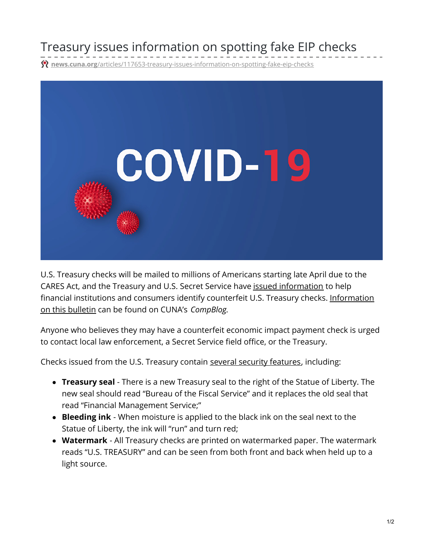## Treasury issues information on spotting fake EIP checks

treasury-issues-information-on-spotting-fake-eip-checks



U.S. Treasury checks will be mailed to millions of Americans starting late April due to the CARES Act, and the Treasury and U.S. Secret Service have issued [information](https://www.secretservice.gov/data/press/releases/2020/20-APR/Check-Security-Features-for-Economic-Impact-Payments.pdf) to help financial institutions and consumers identify counterfeit U.S. Treasury checks. [Information](https://compliancecommunity.cuna.org/blogs/patricia-oconnell/2020/04/22/secret-service-and-treasury-issue-guidance-with-ti) on this bulletin can be found on CUNA's *CompBlog.*

Anyone who believes they may have a counterfeit economic impact payment check is urged to contact local law enforcement, a Secret Service field office, or the Treasury.

Checks issued from the U.S. Treasury contain several security [features](https://fiscal.treasury.gov/files/reference-guidance/gold-book/check-security-features.pdf), including:

- **Treasury seal** There is a new Treasury seal to the right of the Statue of Liberty. The new seal should read "Bureau of the Fiscal Service" and it replaces the old seal that read "Financial Management Service;"
- **Bleeding ink** When moisture is applied to the black ink on the seal next to the Statue of Liberty, the ink will "run" and turn red;
- **Watermark** All Treasury checks are printed on watermarked paper. The watermark reads "U.S. TREASURY" and can be seen from both front and back when held up to a light source.